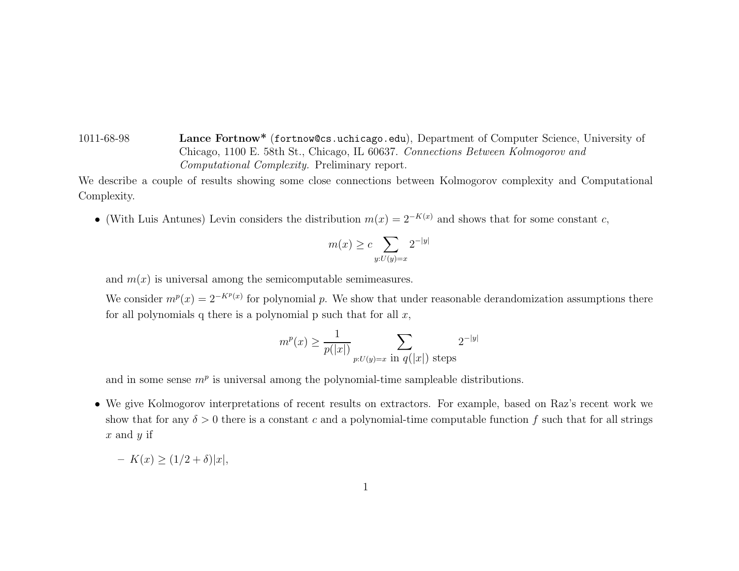1011-68-98 **Lance Fortnow\*** (fortnow@cs.uchicago.edu), Department of Computer Science, University of Chicago, 1100 E. 58th St., Chicago, IL 60637. Connections Between Kolmogorov and Computational Complexity. Preliminary report.

We describe <sup>a</sup> couple of results showing some close connections between Kolmogorov complexity and Computational Complexity.

• (With Luis Antunes) Levin considers the distribution  $m(x)=2^{-K(x)}$  and shows that for some constant c,

$$
m(x) \ge c \sum_{y:U(y)=x} 2^{-|y|}
$$

and  $m(x)$  is universal among the semicomputable semimeasures.

We consider  $m^p(x)=2^{-K^p(x)}$  for polynomial p. We show that under reasonable derandomization assumptions there for all polynomials q there is a polynomial p such that for all  $x$ ,

$$
m^p(x) \ge \frac{1}{p(|x|)} \sum_{p:U(y)=x \text{ in } q(|x|) \text{ steps}} 2^{-|y|}
$$

and in some sense  $m<sup>p</sup>$  is universal among the polynomial-time sampleable distributions.

• We give Kolmogorov interpretations of recent results on extractors. For example, based on Raz's recent work we show that for any  $\delta > 0$  there is a constant c and a polynomial-time computable function f such that for all strings  $x$  and  $y$  if

$$
- K(x) \ge (1/2 + \delta)|x|,
$$